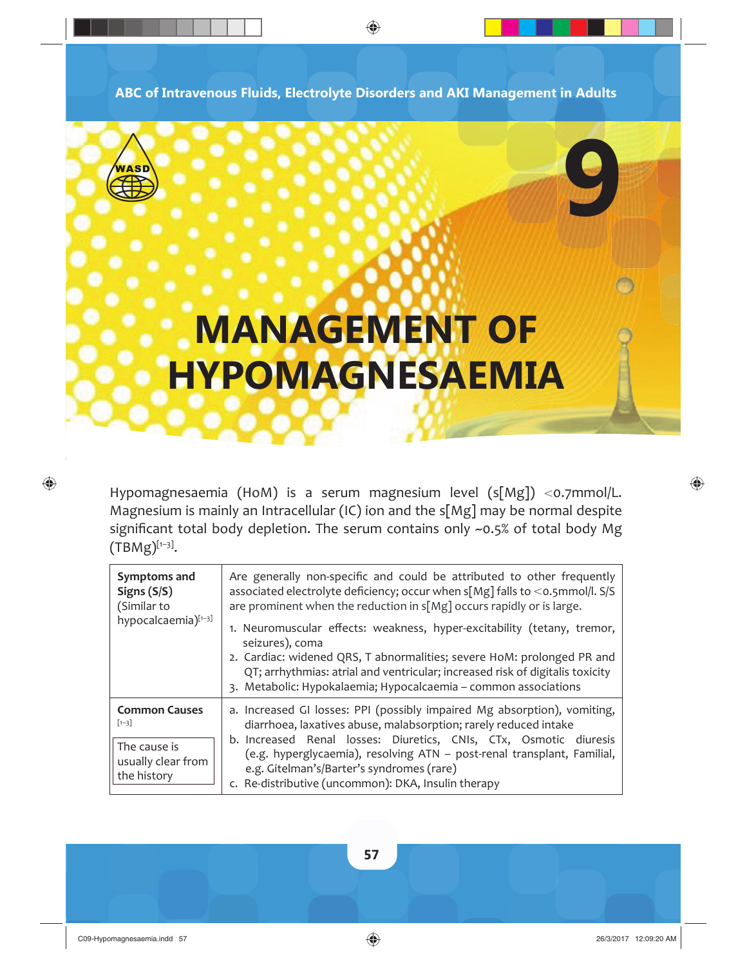**ABC of Intravenous Fluids, Electrolyte Disorders and AKI Management in Adults**

⊕



 $\bigoplus$ 

# **MANAGEMENT OF HYPOMAGNESAEMIA**

Hypomagnesaemia (HoM) is a serum magnesium level  $(s[Mg]) <$ o.7mmol/L. Magnesium is mainly an Intracellular (IC) ion and the s[Mg] may be normal despite significant total body depletion. The serum contains only  $\sim$ 0.5% of total body Mg  $(TBMg)^{[1-3]}$ .

| Symptoms and<br>Signs $(S/S)$<br>(Similar to<br>hypocalcaemia)[1-3]                    | Are generally non-specific and could be attributed to other frequently<br>associated electrolyte deficiency; occur when s[Mg] falls to <0.5mmol/l. S/S<br>are prominent when the reduction in $s[Mg]$ occurs rapidly or is large.<br>1. Neuromuscular effects: weakness, hyper-excitability (tetany, tremor,<br>seizures), coma<br>2. Cardiac: widened QRS, T abnormalities; severe HoM: prolonged PR and<br>QT; arrhythmias: atrial and ventricular; increased risk of digitalis toxicity<br>3. Metabolic: Hypokalaemia; Hypocalcaemia - common associations |
|----------------------------------------------------------------------------------------|---------------------------------------------------------------------------------------------------------------------------------------------------------------------------------------------------------------------------------------------------------------------------------------------------------------------------------------------------------------------------------------------------------------------------------------------------------------------------------------------------------------------------------------------------------------|
| <b>Common Causes</b><br>$[1 - 3]$<br>The cause is<br>usually clear from<br>the history | a. Increased GI losses: PPI (possibly impaired Mg absorption), vomiting,<br>diarrhoea, laxatives abuse, malabsorption; rarely reduced intake<br>b. Increased Renal losses: Diuretics, CNIs, CTx, Osmotic diuresis<br>(e.g. hyperglycaemia), resolving ATN - post-renal transplant, Familial,<br>e.g. Gitelman's/Barter's syndromes (rare)<br>c. Re-distributive (uncommon): DKA, Insulin therapy                                                                                                                                                              |



◈

**9**

**57**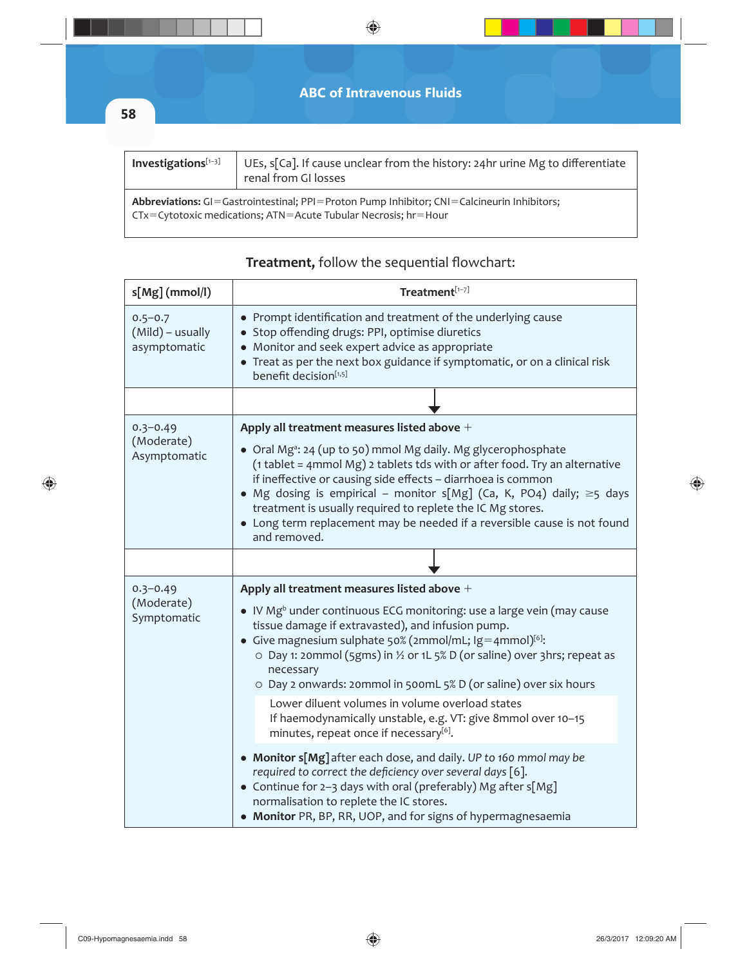|                     | <b>ABC of Intravenous Fluids</b>                                                                                                                                               |
|---------------------|--------------------------------------------------------------------------------------------------------------------------------------------------------------------------------|
| 58                  |                                                                                                                                                                                |
|                     |                                                                                                                                                                                |
| Investigations[1-3] | UEs, s[Ca]. If cause unclear from the history: 24hr urine Mg to differentiate<br>renal from GI losses                                                                          |
|                     | <b>Abbreviations:</b> GI=Gastrointestinal; PPI=Proton Pump Inhibitor; CNI=Calcineurin Inhibitors;<br>$CY = Cytotoxic$ medications; $ATN = Acute$ Tubular Necrosis; $hr = Hour$ |

 $\bigoplus$ 

| $s[Mg]$ (mmol/l)                                | $Treatment^{[1-7]}$                                                                                                                                                                                                                                                                                                                                                                                                                                                                                            |
|-------------------------------------------------|----------------------------------------------------------------------------------------------------------------------------------------------------------------------------------------------------------------------------------------------------------------------------------------------------------------------------------------------------------------------------------------------------------------------------------------------------------------------------------------------------------------|
| $0.5 - 0.7$<br>(Mild) - usually<br>asymptomatic | • Prompt identification and treatment of the underlying cause<br>• Stop offending drugs: PPI, optimise diuretics<br>• Monitor and seek expert advice as appropriate<br>• Treat as per the next box guidance if symptomatic, or on a clinical risk<br>benefit decision[1,5]                                                                                                                                                                                                                                     |
|                                                 |                                                                                                                                                                                                                                                                                                                                                                                                                                                                                                                |
| $0.3 - 0.49$<br>(Moderate)<br>Asymptomatic      | Apply all treatment measures listed above $+$<br>• Oral Mg <sup>a</sup> : 24 (up to 50) mmol Mg daily. Mg glycerophosphate<br>(1 tablet = 4mmol Mg) 2 tablets tds with or after food. Try an alternative<br>if ineffective or causing side effects - diarrhoea is common<br>Mg dosing is empirical – monitor s[Mg] (Ca, K, PO4) daily; $\geq$ 5 days<br>treatment is usually required to replete the IC Mg stores.<br>• Long term replacement may be needed if a reversible cause is not found<br>and removed. |
|                                                 |                                                                                                                                                                                                                                                                                                                                                                                                                                                                                                                |
| $0.3 - 0.49$<br>(Moderate)<br>Symptomatic       | Apply all treatment measures listed above $+$<br>• IV Mg <sup>b</sup> under continuous ECG monitoring: use a large vein (may cause<br>tissue damage if extravasted), and infusion pump.<br>• Give magnesium sulphate 50% (2mmol/mL; $\lg$ =4mmol) <sup>[6]</sup> :<br>○ Day 1: 20mmol (5gms) in ½ or 1L 5% D (or saline) over 3hrs; repeat as<br>necessary<br>O Day 2 onwards: 20mmol in 500mL 5% D (or saline) over six hours<br>Lower diluent volumes in volume overload states                              |
|                                                 | If haemodynamically unstable, e.g. VT: give 8mmol over 10-15<br>minutes, repeat once if necessary[6].                                                                                                                                                                                                                                                                                                                                                                                                          |
|                                                 | • Monitor s[Mg] after each dose, and daily. UP to 160 mmol may be<br>required to correct the deficiency over several days [6].<br>• Continue for 2-3 days with oral (preferably) Mg after s[Mg]<br>normalisation to replete the IC stores.<br>• Monitor PR, BP, RR, UOP, and for signs of hypermagnesaemia                                                                                                                                                                                                     |

## Treatment, follow the sequential flowchart:

 $\bigoplus$ 

 $\bigoplus$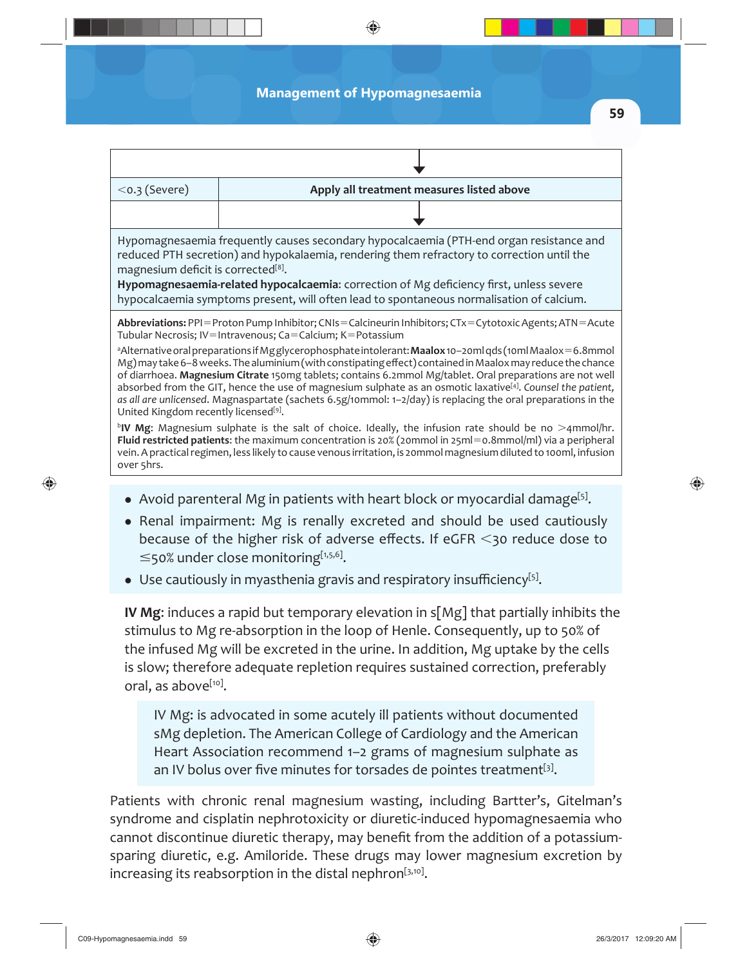#### **Management of Hypomagnesaemia**

◈

**59**

♠

| $<$ o.3 (Severe)                                                                                                                                                                                                                                                                                                                                                                                                                                                                                                                                                                                                                                                                                                                                                                                                                                                                                                                 | Apply all treatment measures listed above |  |
|----------------------------------------------------------------------------------------------------------------------------------------------------------------------------------------------------------------------------------------------------------------------------------------------------------------------------------------------------------------------------------------------------------------------------------------------------------------------------------------------------------------------------------------------------------------------------------------------------------------------------------------------------------------------------------------------------------------------------------------------------------------------------------------------------------------------------------------------------------------------------------------------------------------------------------|-------------------------------------------|--|
|                                                                                                                                                                                                                                                                                                                                                                                                                                                                                                                                                                                                                                                                                                                                                                                                                                                                                                                                  |                                           |  |
| Hypomagnesaemia frequently causes secondary hypocalcaemia (PTH-end organ resistance and<br>reduced PTH secretion) and hypokalaemia, rendering them refractory to correction until the<br>magnesium deficit is corrected <sup>[8]</sup> .<br>Hypomagnesaemia-related hypocalcaemia: correction of Mg deficiency first, unless severe<br>hypocalcaemia symptoms present, will often lead to spontaneous normalisation of calcium.                                                                                                                                                                                                                                                                                                                                                                                                                                                                                                  |                                           |  |
| Abbreviations: PPI=Proton Pump Inhibitor; CNIs=Calcineurin Inhibitors; CTx=Cytotoxic Agents; ATN=Acute<br>Tubular Necrosis; IV=Intravenous; Ca=Calcium; K=Potassium<br>alternative oral preparations if Mgglycerophosphate intolerant: Maalox 10-20ml qds (10ml Maalox = 6.8mmol<br>Mg) may take 6-8 weeks. The aluminium (with constipating effect) contained in Maalox may reduce the chance<br>of diarrhoea. Magnesium Citrate 150mg tablets; contains 6.2mmol Mg/tablet. Oral preparations are not well<br>absorbed from the GIT, hence the use of magnesium sulphate as an osmotic laxative <sup>[4]</sup> . Counsel the patient,<br>as all are unlicensed. Magnaspartate (sachets 6.5g/10mmol: 1-2/day) is replacing the oral preparations in the<br>United Kingdom recently licensed <sup>[9]</sup> .<br><sup>b</sup> IV Mg: Magnesium sulphate is the salt of choice. Ideally, the infusion rate should be no >4mmol/hr. |                                           |  |
| Fluid restricted patients: the maximum concentration is 20% (20mmol in 25ml=0.8mmol/ml) via a peripheral<br>vein. A practical regimen, less likely to cause venous irritation, is 20mmol magnesium diluted to 100ml, infusion<br>over 5hrs.                                                                                                                                                                                                                                                                                                                                                                                                                                                                                                                                                                                                                                                                                      |                                           |  |
|                                                                                                                                                                                                                                                                                                                                                                                                                                                                                                                                                                                                                                                                                                                                                                                                                                                                                                                                  |                                           |  |

- Avoid parenteral Mg in patients with heart block or myocardial damage<sup>[5]</sup>.
- Renal impairment: Mg is renally excreted and should be used cautiously because of the higher risk of adverse effects. If eGFR  $\leq$ 30 reduce dose to  $\leq$ 50% under close monitoring[1,5,6].
- $\bullet$  Use cautiously in myasthenia gravis and respiratory insufficiency<sup>[5]</sup>.

**IV Mg**: induces a rapid but temporary elevation in s[Mg] that partially inhibits the stimulus to Mg re-absorption in the loop of Henle. Consequently, up to 50% of the infused Mg will be excreted in the urine. In addition, Mg uptake by the cells is slow; therefore adequate repletion requires sustained correction, preferably oral, as above<sup>[10]</sup>.

IV Mg: is advocated in some acutely ill patients without documented sMg depletion. The American College of Cardiology and the American Heart Association recommend 1–2 grams of magnesium sulphate as an IV bolus over five minutes for torsades de pointes treatment<sup>[3]</sup>.

Patients with chronic renal magnesium wasting, including Bartter's, Gitelman's syndrome and cisplatin nephrotoxicity or diuretic-induced hypomagnesaemia who cannot discontinue diuretic therapy, may benefit from the addition of a potassiumsparing diuretic, e.g. Amiloride. These drugs may lower magnesium excretion by increasing its reabsorption in the distal nephron $[3,10]$ .

 $\bigoplus$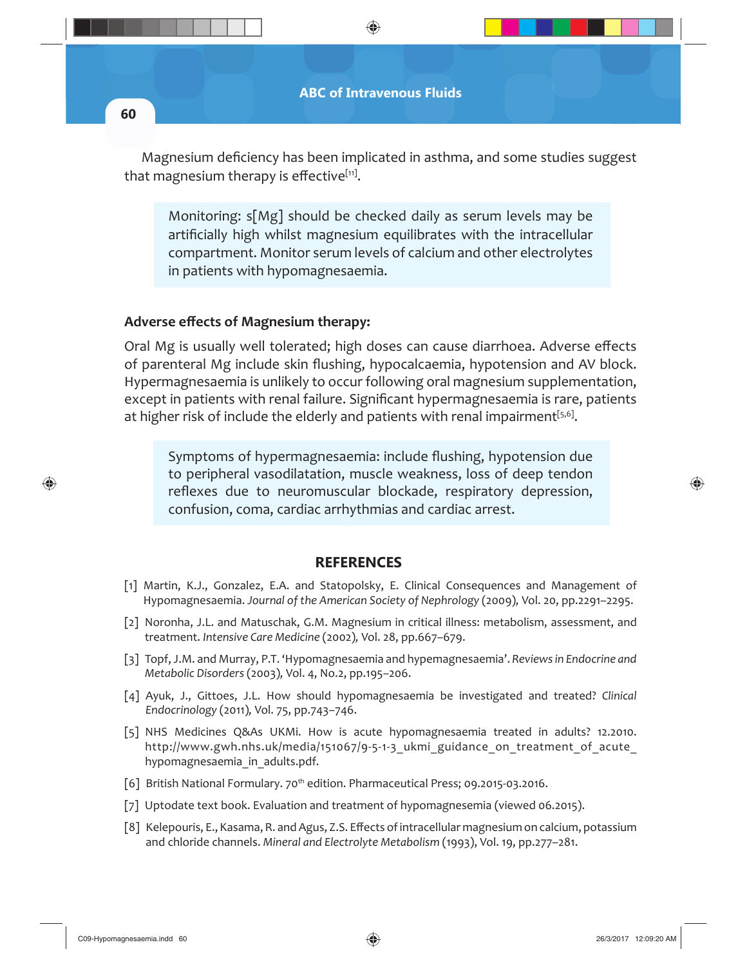

Magnesium deficiency has been implicated in asthma, and some studies suggest that magnesium therapy is effective $[11]$ .

Monitoring: s[Mg] should be checked daily as serum levels may be artificially high whilst magnesium equilibrates with the intracellular compartment. Monitor serum levels of calcium and other electrolytes in patients with hypomagnesaemia.

### **Adverse eff ects of Magnesium therapy:**

Oral Mg is usually well tolerated; high doses can cause diarrhoea. Adverse effects of parenteral Mg include skin flushing, hypocalcaemia, hypotension and AV block. Hypermagnesaemia is unlikely to occur following oral magnesium supplementation, except in patients with renal failure. Significant hypermagnesaemia is rare, patients at higher risk of include the elderly and patients with renal impairment $[5,6]$ .

Symptoms of hypermagnesaemia: include flushing, hypotension due to peripheral vasodilatation, muscle weakness, loss of deep tendon reflexes due to neuromuscular blockade, respiratory depression, confusion, coma, cardiac arrhythmias and cardiac arrest.

#### **REFERENCES**

- [1] Martin, K.J., Gonzalez, E.A. and Statopolsky, E. Clinical Consequences and Management of Hypomagnesaemia. *Journal of the American Society of Nephrology* (2009)*,* Vol. 20, pp.2291–2295.
- [2] Noronha, J.L. and Matuschak, G.M. Magnesium in critical illness: metabolism, assessment, and treatment. *Intensive Care Medicine* (2002)*,* Vol. 28, pp.667–679.
- [3] Topf, J.M. and Murray, P.T. 'Hypomagnesaemia and hypemagnesaemia'. *Reviews in Endocrine and Metabolic Disorders* (2003)*,* Vol. 4, No.2, pp.195–206.
- [4] Ayuk, J., Gittoes, J.L. How should hypomagnesaemia be investigated and treated? *Clinical Endocrinology* (2011)*,* Vol. 75, pp.743–746.
- [5] NHS Medicines Q&As UKMi. How is acute hypomagnesaemia treated in adults? 12.2010. http://www.gwh.nhs.uk/media/151067/9-5-1-3 ukmi\_guidance\_on\_treatment\_of\_acute hypomagnesaemia in adults.pdf.
- [6] British National Formulary. 70<sup>th</sup> edition. Pharmaceutical Press; 09.2015-03.2016.
- [7] Uptodate text book. Evaluation and treatment of hypomagnesemia (viewed 06.2015).
- [8] Kelepouris, E., Kasama, R. and Agus, Z.S. Eff ects of intracellular magnesium on calcium, potassium and chloride channels. *Mineral and Electrolyte Metabolism* (1993), Vol. 19, pp.277–281.

 $\bigcirc$ 

♠